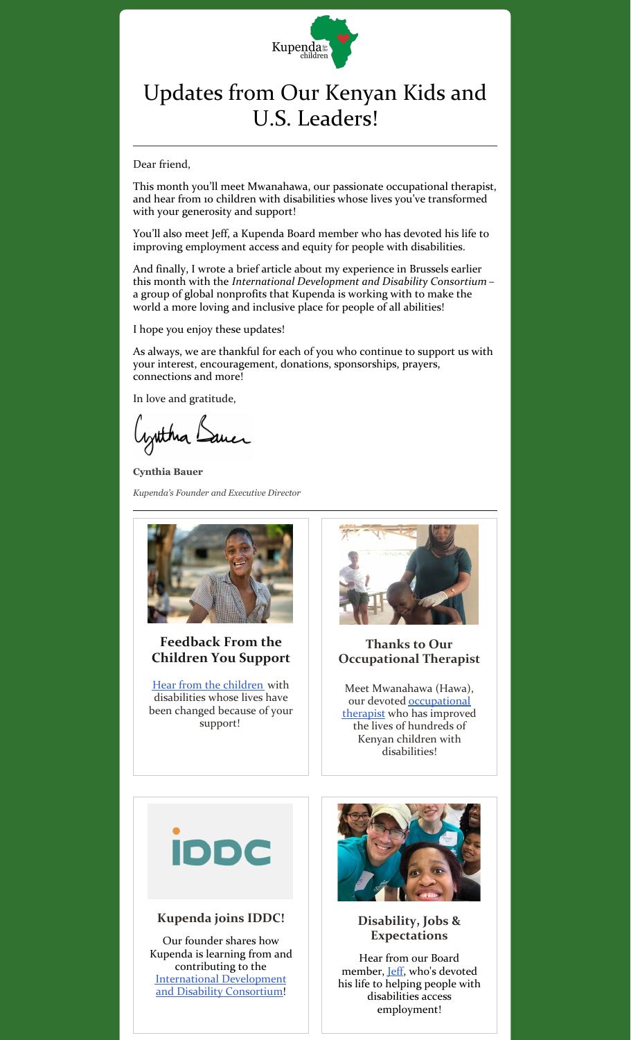

## Updates from Our Kenyan Kids and U.S. Leaders!

Dear friend,

This month you'll meet Mwanahawa, our passionate occupational therapist, and hear from 10 children with disabilities whose lives you've transformed with your generosity and support!

You'll also meet Jeff, a Kupenda Board member who has devoted his life to improving employment access and equity for people with disabilities.

And finally, I wrote a brief article about my experience in Brussels earlier this month with the *International Development and Disability Consortium* – a group of global nonprofits that Kupenda is working with to make the world a more loving and inclusive place for people of all abilities!

I hope you enjoy these updates!

As always, we are thankful for each of you who continue to support us with your interest, encouragement, donations, sponsorships, prayers, connections and more!

In love and gratitude,

Cynthia Dance

**Cynthia Bauer** *Kupenda's Founder and Executive Director*